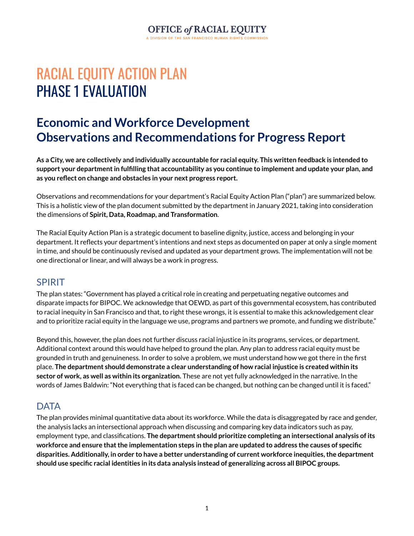# OFFICE of RACIAL EQUITY

# RACIAL EQUITY ACTION PLAN PHASE 1 EVALUATION

### **Economic and Workforce Development Observations and Recommendations for Progress Report**

As a City, we are collectively and individually accountable for racial equity. This written feedback is intended to **support your departmentin fulfilling that accountability as you continue to implement and update your plan, and as you reflect on change and obstacles in your next progress report.**

Observations and recommendations for your department's Racial Equity Action Plan ("plan") are summarized below. This is a holistic view of the plan document submitted by the department in January 2021, taking into consideration the dimensions of **Spirit, Data, Roadmap, and Transformation**.

The Racial Equity Action Plan is a strategic document to baseline dignity, justice, access and belonging in your department. It reflects your department's intentions and next steps as documented on paper at only a single moment in time, and should be continuously revised and updated as your department grows. The implementation will not be one directional or linear, and will always be a work in progress.

#### SPIRIT

The plan states: "Government has played a critical role in creating and perpetuating negative outcomes and disparate impacts for BIPOC. We acknowledge that OEWD, as part of this governmental ecosystem, has contributed to racial inequity in San Francisco and that, to right these wrongs, it is essential to make this acknowledgement clear and to prioritize racial equity in the language we use, programs and partners we promote, and funding we distribute."

Beyond this, however, the plan does not further discuss racial injustice in its programs, services, or department. Additional context around this would have helped to ground the plan. Any plan to address racial equity must be grounded in truth and genuineness. In order to solve a problem, we must understand how we got there in the first place. **The department should demonstrate a clear understanding of how racial injustice is created within its sector of work, as well as within its organization.** These are not yet fully acknowledged in the narrative. In the words of James Baldwin: "Not everything that is faced can be changed, but nothing can be changed until it is faced."

### **DATA**

The plan provides minimal quantitative data about its workforce. While the data is disaggregated by race and gender, the analysis lacks an intersectional approach when discussing and comparing key data indicators such as pay, employment type, and classifications. **The department should prioritize completing an intersectional analysis of its** workforce and ensure that the implementation steps in the plan are updated to address the causes of specific **disparities. Additionally, in order to have a better understanding of current workforce inequities,the department should use specific racial identities in its data analysis instead of generalizing across all BIPOC groups.**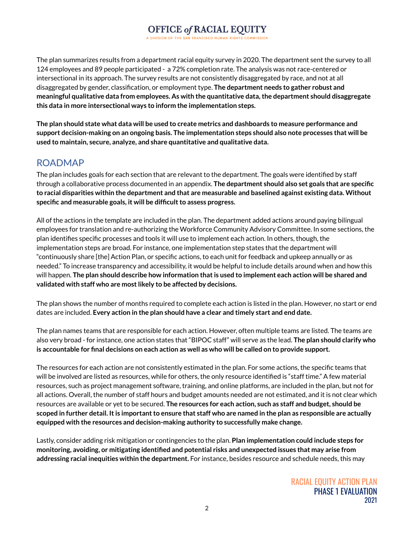### **OFFICE of RACIAL EQUITY**

The plan summarizes results from a department racial equity survey in 2020. The department sent the survey to all 124 employees and 89 people participated - a 72% completion rate. The analysis was not race-centered or intersectional in its approach. The survey results are not consistently disaggregated by race, and not at all disaggregated by gender, classification, or employment type. **The department needs to gather robust and meaningful qualitative data from employees. As with the quantitative data,the department should disaggregate this data in more intersectional ways to inform the implementation steps.**

The plan should state what data will be used to create metrics and dashboards to measure performance and **support decision-making on an ongoing basis. The implementation steps should also note processes that will be used to maintain, secure, analyze, and share quantitative and qualitative data.**

### ROADMAP

The plan includes goals for each section that are relevant to the department. The goals were identified by staff through a collaborative process documented in an appendix. **The department should also set goals that are specific to racial disparities within the department and that are measurable and baselined against existing data. Without specific** and measurable goals, it will be difficult to assess progress.

All of the actions in the template are included in the plan. The department added actions around paying bilingual employees for translation and re-authorizing the Workforce Community Advisory Committee. In some sections, the plan identifies specific processes and tools it will use to implement each action. In others, though, the implementation steps are broad. For instance, one implementation step states that the department will "continuously share [the] Action Plan, or specific actions, to each unit for feedback and upkeep annually or as needed." To increase transparency and accessibility, it would be helpful to include details around when and how this will happen. **The plan should describe how information thatis used to implement each action will be shared and validated with staff who are mostlikely to be affected by decisions.**

The plan shows the number of months required to complete each action is listed in the plan. However, no start or end dates are included. **Every action in the plan should have a clear and timely start and end date.**

The plan names teams that are responsible for each action. However, often multiple teams are listed. The teams are also very broad - for instance, one action states that "BIPOC staff" will serve as the lead. **The plan should clarify who** is accountable for final decisions on each action as well as who will be called on to provide support.

The resources for each action are not consistently estimated in the plan. For some actions, the specific teams that will be involved are listed as resources, while for others, the only resource identified is "staff time." A few material resources, such as project management software, training, and online platforms, are included in the plan, but not for all actions. Overall, the number of staff hours and budget amounts needed are not estimated, and it is not clear which resources are available or yet to be secured. **The resources for each action, such as staff and budget, should be** scoped in further detail. It is important to ensure that staff who are named in the plan as responsible are actually **equipped with the resources and decision-making authority to successfully make change.**

Lastly, consider adding risk mitigation or contingencies to the plan. **Plan implementation could include steps for monitoring, avoiding, or mitigating identified and potential risks and unexpected issues that may arise from addressing racial inequities within the department.** For instance, besides resource and schedule needs, this may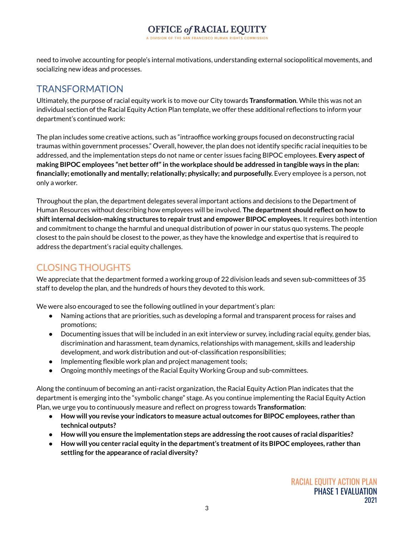need to involve accounting for people's internal motivations, understanding external sociopolitical movements, and socializing new ideas and processes.

### TRANSFORMATION

Ultimately, the purpose of racial equity work is to move our City towards **Transformation**. While this was not an individual section of the Racial Equity Action Plan template, we offer these additional reflections to inform your department's continued work:

The plan includes some creative actions, such as "intraoffice working groups focused on deconstructing racial traumas within government processes." Overall, however, the plan does not identify specific racial inequities to be addressed, and the implementation steps do not name or center issues facing BIPOC employees. **Every aspect of making BIPOC employees "net better off"in the workplace should be addressed in tangible ways in the plan: financially; emotionally and mentally; relationally; physically; and purposefully.** Every employee is a person, not only a worker.

Throughout the plan, the department delegates several important actions and decisions to the Department of Human Resources without describing how employees will be involved. **The department should reflect on how to shiftinternal decision-making structures to repair trust and empower BIPOC employees.** It requires both intention and commitment to change the harmful and unequal distribution of power in our status quo systems. The people closest to the pain should be closest to the power, as they have the knowledge and expertise that is required to address the department's racial equity challenges.

### CLOSING THOUGHTS

We appreciate that the department formed a working group of 22 division leads and seven sub-committees of 35 staff to develop the plan, and the hundreds of hours they devoted to this work.

We were also encouraged to see the following outlined in your department's plan:

- Naming actions that are priorities, such as developing a formal and transparent process for raises and promotions;
- Documenting issues that will be included in an exit interview or survey, including racial equity, gender bias, discrimination and harassment, team dynamics, relationships with management, skills and leadership development, and work distribution and out-of-classification responsibilities;
- Implementing flexible work plan and project management tools;
- Ongoing monthly meetings of the Racial Equity Working Group and sub-committees.

Along the continuum of becoming an anti-racist organization, the Racial Equity Action Plan indicates that the department is emerging into the "symbolic change" stage. As you continue implementing the Racial Equity Action Plan, we urge you to continuously measure and reflect on progress towards **Transformation**:

- **● How will you revise your indicators to measure actual outcomes for BIPOC employees, rather than technical outputs?**
- **● How will you ensure the implementation steps are addressing the root causes of racial disparities?**
- **● How will you center racial equity in the department's treatment of its BIPOC employees, rather than settling for the appearance of racial diversity?**